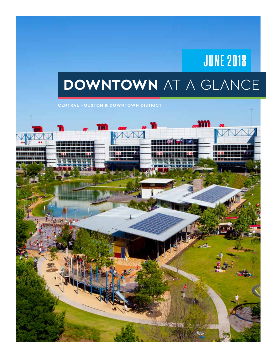# JUNE 2018

# **DOWNTOWN** AT A GLANCE

**CENTRAL HOUSTON & DOWNTOWN DISTRICT**

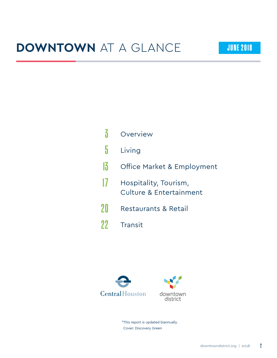| $\mathbf{Z}$              | Overview                                         |
|---------------------------|--------------------------------------------------|
| $\overline{\mathfrak{h}}$ | Living                                           |
| 13                        | Office Market & Employment                       |
| $\mathcal{U}$             | Hospitality, Tourism,<br>Culture & Entertainment |
| 20                        | Restaurants & Retail                             |
| 77                        | Transit                                          |





\*This report is updated biannually. Cover: Discovery Green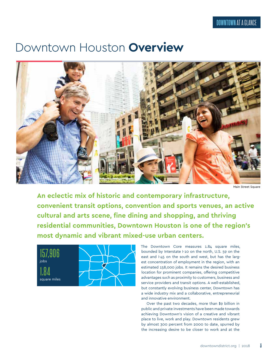# Downtown Houston **Overview**



Main Street Square

**An eclectic mix of historic and contemporary infrastructure, convenient transit options, convention and sports venues, an active cultural and arts scene, fine dining and shopping, and thriving residential communities, Downtown Houston is one of the region's most dynamic and vibrant mixed-use urban centers.**



The Downtown Core measures 1.84 square miles, bounded by Interstate I-10 on the north, U.S. 59 on the east and I-45 on the south and west, but has the largest concentration of employment in the region, with an estimated 158,000 jobs. It remains the desired business location for prominent companies, offering competitive advantages such as proximity to customers, business and service providers and transit options. A well-established, but constantly evolving business center, Downtown has a wide industry mix and a collaborative, entrepreneurial and innovative environment.

Over the past two decades, more than \$9 billion in public and private investments have been made towards achieving Downtown's vision of a creative and vibrant place to live, work and play. Downtown residents grew by almost 300 percent from 2000 to date, spurred by the increasing desire to be closer to work and at the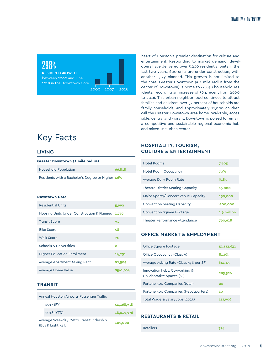

# Key Facts

#### **LIVING**

#### Greater Downtown (2 mile radius)

| Household Population                             | 66.838 |
|--------------------------------------------------|--------|
| Residents with a Bachelor's Degree or Higher 46% |        |

#### Downtown Core

| Residential Units                          | 5,992     |
|--------------------------------------------|-----------|
| Housing Units Under Construction & Planned | 1.779     |
| <b>Transit Score</b>                       | 93        |
| <b>Bike Score</b>                          | 58        |
| Walk Score                                 | 76        |
| Schools & Universities                     | 8         |
| <b>Higher Education Enrollment</b>         | 14,251    |
| Average Apartment Asking Rent              | \$2,509   |
| Average Home Value                         | \$561,664 |

## **TRANSIT**

| Annual Houston Airports Passenger Traffic                     |            |
|---------------------------------------------------------------|------------|
| 2017 (FY)                                                     | 54,168,938 |
| 2018 (YTD)                                                    | 18,042,976 |
| Average Weekday Metro Transit Ridership<br>(Bus & Light Rail) | 105,000    |

heart of Houston's premier destination for culture and entertainment. Responding to market demand, developers have delivered over 3,200 residential units in the last two years, 600 units are under construction, with another 1,179 planned. This growth is not limited to the core. Greater Downtown (a 2-mile radius from the center of Downtown) is home to 66,838 household residents, recording an increase of 36 precent from 2000 to 2016. This urban neighborhood continues to attract families and children: over 57 percent of households are family households, and approximately 11,000 children call the Greater Downtown area home. Walkable, accessible, central and vibrant, Downtown is poised to remain a competitive and sustainable regional economic hub and mixed-use urban center.

#### **HOSPITALITY, TOURISM, CULTURE & ENTERTAINMENT**

| <b>Hotel Rooms</b>                       | 7.803       |
|------------------------------------------|-------------|
| <b>Hotel Room Occupancy</b>              | 70%         |
| Average Daily Room Rate                  | \$183       |
| <b>Theatre District Seating Capacity</b> | 13,000      |
| Major Sports/Concert Venue Capacity      | 150,000     |
| <b>Convention Seating Capacity</b>       | ~100,000    |
| <b>Convention Square Footage</b>         | 1.9 million |
| Theater Performance Attendance           | 790,618     |

#### **OFFICE MARKET & EMPLOYMENT**

| Office Square Footage                                      | 51,313,631 |
|------------------------------------------------------------|------------|
| Office Occupancy (Class A)                                 | 81.6%      |
| Average Asking Rate (Class A; \$ per SF)                   | \$41.43    |
| Innovation hubs, Co-working &<br>Collaborative Spaces (SF) | 283,526    |
| Fortune 500 Companies (total)                              | 20         |
| Fortune 500 Companies (Headquarters)                       | 10         |
| Total Wage & Salary Jobs (2015)                            | 157.906    |

## **RESTAURANTS & RETAIL**

| <b>Retailers</b> |  |
|------------------|--|
|                  |  |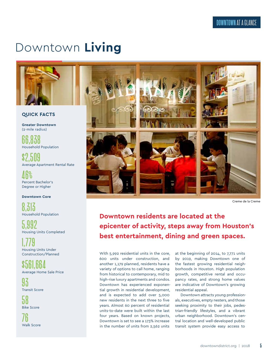# Downtown **Living**



#### **QUICK FACTS**

**Greater Downtown** (2-mile radius)

66,838 Household Population

\$2,509 Average Apartment Rental Rate

46% Percent Bachelor's Degree or Higher

**Downtown Core** 

8,313 Household Population

5,992 Housing Units Completed

1,779 Housing Units Under Construction/Planned

\$561,664 Average Home Sale Price

93 Transit Score

58 Bike Score

/h Walk Score



Creme de la Creme

## **Downtown residents are located at the epicenter of activity, steps away from Houston's best entertainment, dining and green spaces.**

With 5,992 residential units in the core, 600 units under construction, and another 1,179 planned, residents have a variety of options to call home, ranging from historical to contemporary, mid to high-rise luxury apartments and condos. Downtown has experienced exponential growth in residential development, and is expected to add over 5,000 new residents in the next three to five years. Almost 60 percent of residential units-to-date were built within the last four years. Based on known projects, Downtown is set to see a 173% increase in the number of units from 2,562 units

at the beginning of 2014, to 7,771 units by 2019, making Downtown one of the fastest growing residential neighborhoods in Houston. High population growth, competitive rental and occupancy rates, and strong home values are indicative of Downtown's growing residential appeal.

Downtown attracts young professionals, executives, empty nesters, and those seeking proximity to their jobs, pedestrian-friendly lifestyles, and a vibrant urban neighborhood. Downtown's central location and well-developed public transit system provide easy access to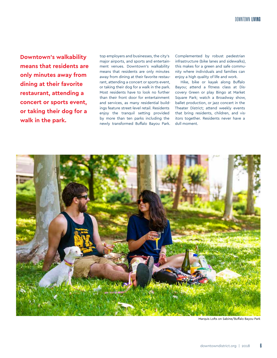**Downtown's walkability means that residents are only minutes away from dining at their favorite restaurant, attending a concert or sports event, or taking their dog for a walk in the park.**

top employers and businesses, the city's major airports, and sports and entertainment venues. Downtown's walkability means that residents are only minutes away from dining at their favorite restaurant, attending a concert or sports event, or taking their dog for a walk in the park. Most residents have to look no further than their front door for entertainment and services, as many residential buildings feature street-level retail. Residents enjoy the tranquil setting provided by more than ten parks including the newly transformed Buffalo Bayou Park. Complemented by robust pedestrian infrastructure (bike lanes and sidewalks), this makes for a green and safe community where individuals and families can enjoy a high quality of life and work.

Hike, bike or kayak along Buffalo Bayou; attend a fitness class at Discovery Green or play Bingo at Market Square Park; watch a Broadway show, ballet production, or jazz concert in the Theater District; attend weekly events that bring residents, children, and visitors together. Residents never have a dull moment.



Marquis Lofts on Sabine/Buffalo Bayou Park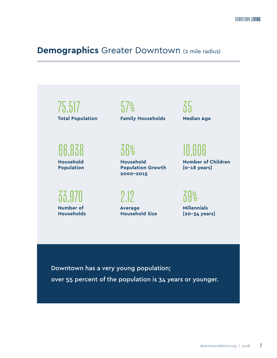## **Demographics** Greater Downtown (2 mile radius)

75,517 **Total Population** 

 $57%$ **Family Households**

66,838 **Household Population** 

33,970 **Number of Households**  $36%$ 

**Household Population Growth 2000–2015**

2.12 **Average Household Size**

35 **Median Age** 

> 10,606 **Number of Children [0–18 years]**

39%

**Millennials [20–34 years]**

Downtown has a very young population; over 55 percent of the population is 34 years or younger.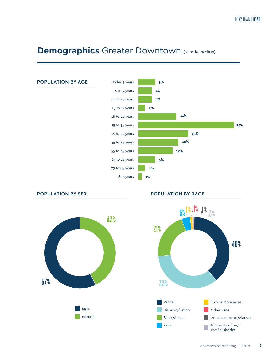# **Demographics** Greater Downtown (2 mile radius)







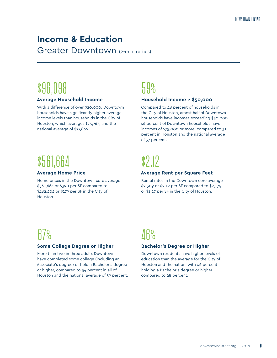# **Income & Education**

Greater Downtown (2-mile radius)

# \$96,098

#### **Average Household Income**

With a difference of over \$20,000, Downtown households have significantly higher average income levels than households in the City of Houston, which averages \$75,763, and the national average of \$77,866.

# \$561,664

## **Average Home Price**

Home prices in the Downtown core average \$561,664 or \$390 per SF compared to \$482,202 or \$179 per SF in the City of Houston.

# 59%

## **Household Income > \$50,000**

Compared to 48 percent of households in the City of Houston, amost half of Downtown households have incomes exceeding \$50,000. 46 percent of Downtown households have incomes of \$75,000 or more, compared to 31 percent in Houston and the national average of 37 percent.

# \$2.12

## **Average Rent per Square Feet**

Rental rates in the Downtown core average \$2,509 or \$2.12 per SF compared to \$2,174 or \$1.27 per SF in the City of Houston.

# 67%

## **Some College Degree or Higher**

More than two in three adults Downtown have completed some college (including an Associate's degree) or hold a Bachelor's degree or higher, compared to 54 percent in all of Houston and the national average of 59 percent.

# 46%

## **Bachelor's Degree or Higher**

Downtown residents have higher levels of education than the average for the City of Houston and the nation, with 46 percent holding a Bachelor's degree or higher compared to 28 percent.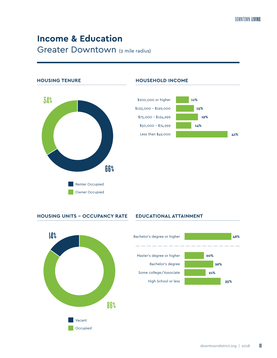# **Income & Education**  Greater Downtown (2 mile radius)



**HOUSING UNITS – OCCUPANCY RATE EDUCATIONAL ATTAINMENT**





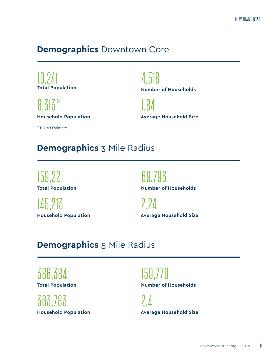# **Demographics** Downtown Core

10,241 **Total Population** 4,518 **Number of Households**

8,313\* **Household Population**

1.84 **Average Household Size**

\* HDMD Estimate

## **Demographics** 3-Mile Radius

159,221 **Total Population** 69,796

145,213 **Household Population** **Number of Households** 2.24

**Average Household Size**

## **Demographics** 5-Mile Radius

386,384 **Total Population**

363,783 **Household Population**

159,779 **Number of Households**

2.4 **Average Household Size**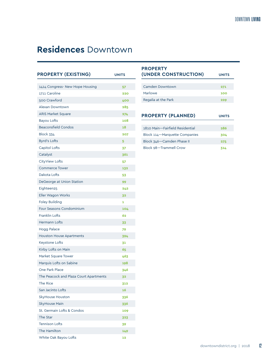# **Residences** Downtown

#### **PROPERTY (EXISTING) UNITS**

| 1414 Congress- New Hope Housing        | 57  |
|----------------------------------------|-----|
| 1711 Caroline                          | 220 |
| 500 Crawford                           | 400 |
| Alexan Downtown                        | 285 |
| <b>ARIS Market Square</b>              | 274 |
| Bayou Lofts                            | 108 |
| <b>Beaconsfield Condos</b>             | 18  |
| <b>Block 334</b>                       | 207 |
| <b>Byrd's Lofts</b>                    | 5   |
| Capitol Lofts                          | 37  |
| Catalyst                               | 361 |
| <b>CityView Lofts</b>                  | 57  |
| <b>Commerce Tower</b>                  | 132 |
| Dakota Lofts                           | 53  |
| DeGeorge at Union Station              | 99  |
| Eighteen25                             | 242 |
| Eller Wagon Works                      | 32  |
| Foley Building                         | ı   |
| Four Seasons Condominium               | 104 |
| <b>Franklin Lofts</b>                  | 62  |
| <b>Hermann Lofts</b>                   | 33  |
| Hogg Palace                            | 79  |
| <b>Houston House Apartments</b>        | 394 |
| Keystone Lofts                         | 31  |
| Kirby Lofts on Main                    | 65  |
| Market Square Tower                    | 463 |
| Marquis Lofts on Sabine                | 198 |
| One Park Place                         | 346 |
| The Peacock and Plaza Court Apartments | 32  |
| The Rice                               | 312 |
| San Jacinto Lofts                      | 16  |
| <b>SkyHouse Houston</b>                | 336 |
| SkyHouse Main                          | 336 |
| St. Germain Lofts & Condos             | 109 |
| <b>The Star</b>                        | 323 |
| <b>Tennison Lofts</b>                  | 39  |
| The Hamilton                           | 149 |
| White Oak Bayou Lofts                  | 12  |

## **PROPERTY (UNDER CONSTRUCTION) UNITS** Camden Downtown **271**

| Marlowe             | 100 |
|---------------------|-----|
| Regalia at the Park | 229 |
|                     |     |

## **PROPERTY (PLANNED)** UNITS

| 1810 Main-Fairfield Residential | 286 |
|---------------------------------|-----|
| Block 114-Marquette Companies   | 304 |
| Block 346-Camden Phase II       | 275 |
| Block 98-Trammell Crow          | 314 |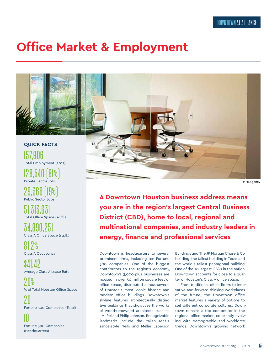# **Office Market & Employment**



MMI Agency

**A Downtown Houston business address means you are in the region's largest Central Business District (CBD), home to local, regional and multinational companies, and industry leaders in energy, finance and professional services**

Downtown is headquarters to several prominent firms, including ten Fortune 500 companies. One of the biggest contributors to the region's economy, Downtown's 3,000-plus businesses are housed in over 50 million square feet of office space, distributed across several of Houston's most iconic historic and modern office buildings. Downtown's skyline features architecturally distinctive buildings that showcase the works of world-renowned architects such as I.M. Pei and Philip Johnson. Recognizable landmarks include the Italian renaissance-style Neils and Mellie Esperson

Buildings and The JP Morgan Chase & Co building, the tallest building in Texas and the world's tallest pentagonal building. One of the 10 largest CBDs in the nation, Downtown accounts for close to a quarter of Houston's Class A office space.

From traditional office floors to innovative and forward-thinking workplaces of the future, the Downtown office market features a variety of options to suit different corporate cultures. Downtown remains a top competitor in the regional office market, constantly evolving with demographic and workforce trends. Downtown's growing network

Private Sector Jobs

29,366 (19%) Public Sector Jobs

51,313,631 Total Office Space (sq.ft.)

34,890,251 Class A Office Space (sq.ft.)

81.2% Class A Occupancy

\$41.42 Average Class A Lease Rate

 $20<sup>°</sup>$ % of Total Houston Office Space

20 Fortune 500 Companies (Total)

10 Fortune 500 Companies (Headquarters)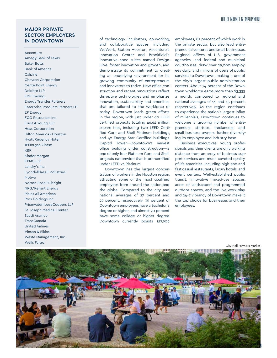### **MAJOR PRIVATE SECTOR EMPLOYERS IN DOWNTOWN**

**Accenture** Amegy Bank of Texas Baker Botts Bank of America **Calpine** Chevron Corporation CenterPoint Energy Deloitte LLP EDF Trading Energy Transfer Partners Enterprise Products Partners LP EP Energy EOG Resources Inc. Ernst & Young LLP Hess Corporation Hilton Americas-Houston Hyatt Regency Hotel JPMorgan Chase KBR Kinder Morgan KPMG LLP Landry's Inc. LyondellBasell Industries Motiva Norton Rose Fulbright NRG/Reliant Energy Plains All American Pros Holdings Inc PricewaterhouseCoopers LLP St. Joseph Medical Center Saudi Aramco TransCanada United Airlines Vinson & Elkins Waste Management, Inc. Wells Fargo

of technology incubators, co-working, and collaborative spaces, including WeWork, Station Houston, Accenture's Innovation Center and Brookfield's innovative spec suites named Design-Hive, foster innovation and growth, and demonstrate its commitment to creating an underlying environment for its growing community of entrepreneurs and innovators to thrive. New office construction and recent renovations reflect disruptive technologies and emphasize innovation, sustainability and amenities that are tailored to the workforce of today. Downtown leads green efforts in the region, with just under 60 LEED certified projects totaling 46.62 million square feet, including two LEED Certified Core and Shell Platinum buildings, and 42 Energy Star Certified buildings. Capitol Tower—Downtown's newest office building under construction—is one of only four Platinum Core and Shell projects nationwide that is pre-certified under LEED v4 Platinum.

Downtown has the largest concentration of workers in the Houston region, attracting some of the most qualified employees from around the nation and the globe. Compared to the city and national averages of 27 percent and 29 percent, respectively, 35 percent of Downtown employees have a Bachelor's degree or higher, and almost 70 percent have some college or higher degree. Downtown currently boasts 157,906

employees, 81 percent of which work in the private sector, but also lead entrepreneurial ventures and small businesses. Regional offices of U.S. government agencies, and federal and municipal courthouses, draw over 29,000 employees daily, and millions of users of public services to Downtown, making it one of the city's largest public administration centers. About 74 percent of the Downtown workforce earns more than \$3,333 a month, compared to regional and national averages of 55 and 45 percent, respectively. As the region continues to experience the nation's largest influx of millennials, Downtown continues to welcome a growing number of entrepreneurs, startups, freelancers, and small business owners, further diversifying its employee and industry base.

Business executives, young professionals and their clients are only walking distance from an array of business support services and much coveted quality of life amenities, including high-end and fast casual restaurants, luxury hotels, and event centers. Well-established public transit, innovative mixed-use spaces, acres of landscaped and programmed outdoor spaces, and the live-work-play and 24-7 vibrancy of Downtown make it the top choice for businesses and their employees.

City Hall Farmers Market

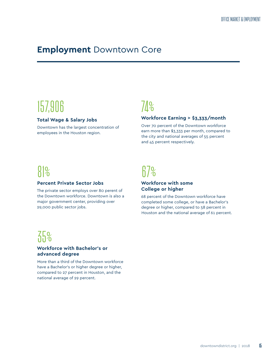## **Employment** Downtown Core

# 157,906

#### **Total Wage & Salary Jobs**

Downtown has the largest concentration of employees in the Houston region.

# $71%$

## **Workforce Earning > \$3,333/month**

Over 70 percent of the Downtown workforce earn more than \$3,333 per month, compared to the city and national averages of 55 percent and 45 percent respectively.

# 81%

#### **Percent Private Sector Jobs**

The private sector employs over 80 perent of the Downtown workforce. Downtown is also a major government center, providing over 29,000 public sector jobs.

# 67%

## **Workforce with some College or higher**

68 percent of the Downtown workforce have completed some college, or have a Bachelor's degree or higher, compared to 58 percent in Houston and the national average of 61 percent.

# $35%$

## **Workforce with Bachelor's or advanced degree**

More than a third of the Downtown workforce have a Bachelor's or higher degree or higher, compared to 27 percent in Houston, and the national average of 29 percent.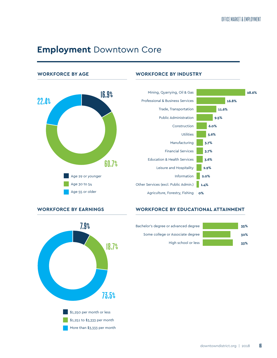# **Employment** Downtown Core



## **WORKFORCE BY AGE WORKFORCE BY INDUSTRY**





#### **WORKFORCE BY EARNINGS WORKFORCE BY EDUCATIONAL ATTAINMENT**

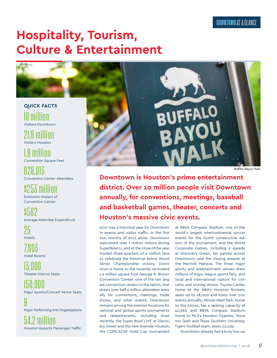# **Hospitality, Tourism, Culture & Entertainment**



**Downtown is Houston's prime entertainment district. Over 10 million people visit Downtown annually, for conventions, meetings, baseball and basketball games, theater, concerts and Houston's massive civic events.** 

2017 was a historical year for Downtown in events and visitor traffic. In the first two months of 2017 alone, Downtown welcomed over 1 million visitors during SuperBowl LI, and at the close of the year, hosted three-quarters of a million fans to celebrate the historical Astros World Series Championship victory. Downtown is home to the recently renovated 1.9 million square foot George R. Brown Convention Center, one of the ten largest convention centers in the nation, that draws over half a million attendees annually for conventions, meetings, trade shows, and other events. Downtown remains among the premier locations for national and global sports tournaments and related-events, including most recently, the Super Bowl LIVE at Discovery Green and the new Avenida Houston, the CONCACAF Gold Cup tournament

at BBVA Compass Stadium, one of the world's largest intercontinental soccer events for the fourth consecutive edition of the tournament; and the World Corporate Games, including a parade at Discovery Green, fan parties across Downtown, and the closing awards at the Marriott Marquis. The three major sports and entertainment venues draw millions of major league sports fans, and local and international visitors for concerts and touring shows. Toyota Center, home to the NBA's Houston Rockets, seats up to 18,000 and hosts over 100 events annually; Minute Maid Park, home to the Astros, has a seating capacity of 40,963; and BBVA Compass Stadium, home to MLS's Houston Dyanmo, Houston Dash and Texas Southern University Tigers football team, seats 22,039.

Downtown already had a busy line-up

628,013 Convention Center Attendees

\$253 millin Economic Impact of Convention Center

\$562 Average Attendee Expenditure

25 Hotels

7,803 Hotel Rooms

13,000 Theater District Seats

150,000 Major Sports/Concert Venue Seats

9 Major Performing Arts Organizations

54.2 million Houston Airports Passenger Traffic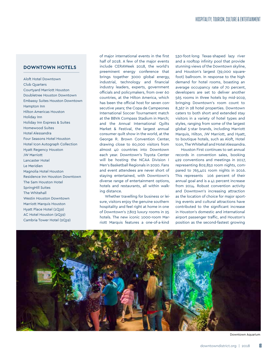### **DOWNTOWN HOTELS**

Aloft Hotel Downtown Club Quarters Courtyard Marriott Houston Doubletree Houston Downtown Embassy Suites Houston Downtown Hampton Inn Hilton Americas Houston Holiday Inn Holiday Inn Express & Suites Homewood Suites Hotel Alessandra Four Seasons Hotel Houston Hotel Icon Autograph Collection Hyatt Regency Houston JW Marriott Lancaster Hotel Le Meridien Magnolia Hotel Houston Residence Inn Houston Downtown The Sam Houston Hotel SpringHill Suites The Whitehall Westin Houston Downtown Marriott Marquis Houston Hyatt Place Hotel (1Q19) AC Hotel Houston (2Q19) Cambria Tower Hotel (2Q19)

of major international events in the first half of 2018. A few of the major events include CERAWeek 2018, the world's preeminent energy conference that brings together 3000 global energy, industrial, technology and financial industry leaders, experts, government officials and policymakers, from over 60 countries, at the Hilton America, which has been the official host for seven consecutive years; the Copa de Campeones International Soccer Tournament match at the BBVA Compass Stadium in March; and the Annual International Quilts Market & Festival, the largest annual consumer quilt show in the world, at the George R. Brown Convention Center, drawing close to 60,000 visitors from almost 40 countries into Downtown each year. Downtown's Toyota Center will be hosting the NCAA Division I Men's Basketball Regionals in 2020. Fans and event attendees are never short of staying entertained, with Downtown's diverse range of entertainment options, hotels and restaurants, all within walking distance.

Whether travelling for business or leisure, visitors enjoy the genuine southern hospitality and feel right at home in one of Downtown's 7,803 luxury rooms in 25 hotels. The new iconic 1000-room Marriott Marquis features a one-of-a-kind

530-foot-long Texas-shaped lazy river and a rooftop infinity pool that provide stunning views of the Downtown skyline, and Houston's largest (39,000 squarefoot) ballroom. In response to the high demand for hotel rooms, boasting an average occupancy rate of 70 percent, developers are set to deliver another 565 rooms in three hotels by mid-2019, bringing Downtown's room count to 8,367 in 28 hotel properties. Downtown caters to both short and extended stay visitors in a variety of hotel types and styles, ranging from some of the largest global 5-star brands, including Marriott Marquis, Hilton, JW Marriott, and Hyatt, to boutique hotels, such as Aloft, Hotel Icon, The Whitehall and Hotel Alessandra.

Houston First continues to set annual records in convention sales, booking 429 conventions and meetings in 2017, representing 802,852 room nights, compared to 765,401 room nights in 2016. This represents 106 percent of their annual goal and is a 41 percent increase from 2014. Robust convention activity and Downtown's increasing attraction as the location of choice for major sporting events and cultural attractions have contributed to the significant increase in Houston's domestic and international airport passenger traffic, and Houston's position as the second-fastest growing



Downtown Aquarium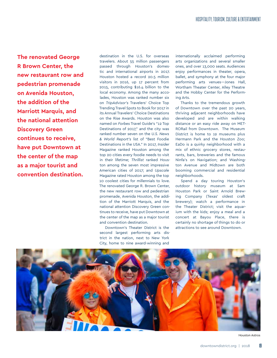**The renovated George R Brown Center, the new restaurant row and pedestrian promenade on Avenida Houston, the addition of the Marriott Marquis, and the national attention Discovery Green continues to receive, have put Downtown at the center of the map as a major tourist and convention destination.**

destination in the U.S. for overseas travelers. About 55 million passengers passed through Houston's domestic and international airports in 2017. Houston hosted a record 20.5 million visitors in 2016, up 17 percent from 2015, contributing \$16.4 billion to the local economy. Among the many accolades, Houston was ranked number six on *TripAdvisor's* Travelers' Choice Top Trending Travel Spots to Book for 2017 in its Annual Travelers' Choice Destinations on the Rise Awards. Houston was also named on *Forbes* Travel Guide's "12 Top Destinations of 2017," and the city was ranked number seven on the *U.S. News & World Report's* list of "Best Foodie Destinations in the USA." In 2017, *Insider*  Magazine ranked Houston among the top 20 cities every foodie needs to visit in their lifetime; *Thrillist* ranked Houston among the seven most impressive American cities of 2017; and *Upscale*  Magazine rated Houston among the top 10 coolest cities for millennials to love. The renovated George R. Brown Center, the new restaurant row and pedestrian promenade, Avenida Houston, the addition of the Marriott Marquis, and the national attention Discovery Green continues to receive, have put Downtown at the center of the map as a major tourist and convention destination.

Downtown's Theater District is the second largest performing arts district in the nation, next to New York City, home to nine award-winning and

internationally acclaimed performing arts organizations and several smaller ones, and over 13,000 seats. Audiences enjoy performances in theater, opera, ballet, and symphony at the four major performing arts venues—Jones Hall, Wortham Theater Center, Alley Theatre and the Hobby Center for the Performing Arts.

Thanks to the tremendous growth of Downtown over the past 20 years, thriving adjacent neighborhoods have developed and are within walking distance or an easy ride away on MET-RORail from Downtown. The Museum District is home to 19 museums plus Hermann Park and the Houston Zoo; EaDo is a quirky neighborhood with a mix of ethnic grocery stores, restaurants, bars, breweries and the famous Ninfa's on Navigation; and Washington Avenue and Midtown are both booming commercial and residential neighborhoods.

Spend a day touring Houston's outdoor history museum at Sam Houston Park or Saint Arnold Brewing Company (Texas' oldest craft brewery); watch a performance in the Theater District; visit the aquarium with the kids; enjoy a meal and a concert at Bayou Place, there is certainly no shortage of things to do or attractions to see around Downtown.



Houston Astros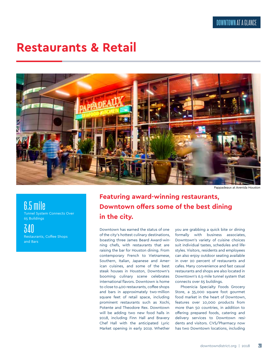# **Restaurants & Retail**



Pappadeaux at Avenida Houston

6.5 mile

Tunnel System Connects Over 65 Buildings

340 Restaurants, Coffee Shops and Bars

## **Featuring award-winning restaurants, Downtown offers some of the best dining in the city.**

Downtown has earned the status of one of the city's hottest culinary destinations, boasting three James Beard Award-winning chefs, with restaurants that are raising the bar for Houston dining. From contemporary French to Vietnamese, Southern, Italian, Japanese and American cuisines, and some of the best steak houses in Houston, Downtown's booming culinary scene celebrates international flavors. Downtown is home to close to 400 restaurants, coffee shops and bars in approximately two-million square feet of retail space, including prominent restaurants such as Xochi, Potente and Theodore Rex. Downtown will be adding two new food halls in 2018, including Finn Hall and Bravery Chef Hall with the anticipated Lyric Market opening in early 2019. Whether

you are grabbing a quick bite or dining formally with business associates, Downtown's variety of cuisine choices suit individual tastes, schedules and lifestyles. Visitors, residents and employees can also enjoy outdoor seating available in over 20 percent of restaurants and cafes. Many convenience and fast casual restaurants and shops are also located in Downtown's 6.5-mile tunnel system that connects over 65 buildings.

Phoenicia Specialty Foods Grocery Store, a 35,000 square foot gourmet food market in the heart of Downtown, features over 10,000 products from more than 50 countries, in addition to offering prepared foods, catering and delivery services to Downtown residents and visitors. CVS/Pharmacy now has two Downtown locations, including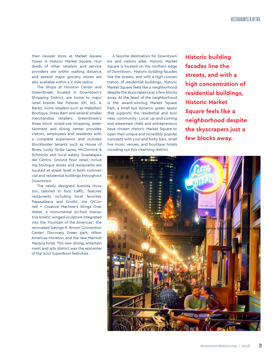their newest store at Market Square Tower in Historic Market Square. Hundreds of other retailers and service providers are within walking distance, and several major grocery stores are also available within a 2-mile radius.

The Shops at Houston Center and GreenStreet, located in Downtown's Shopping District, are home to major retail brands like Forever XXI, JoS. A. Banks, niche retailers such as Make(her) Boutique, Dress Barn and several smaller merchandise retailers. GreenStreet's three block mixed-use shopping, entertainment and dining center provides visitors, employees and residents with a complete experience and includes blockbuster tenants such as House of Blues, Lucky Strike Lanes, McCormick & Schmicks and local eatery Guadalajara del Centro. Ground floor retail, including boutique stores and restaurants are located at street level in both commercial and residential buildings throughout Downtown.

The newly designed Avenida Houston, tailored to foot traffic, features restaurants including local favorites Pappadeaux and Grotto; Joe O'Connell + Creative Machine's Wings Over Water, a monumental 30-foot interactive kinetic winged-sculpture integrated into the 'Fountain of the Americas'; the renovated George R. Brown Convention Center; Discovery Green park; Hilton Americas-Houston; and the new Marriott Marquis hotel. This new dining, entertainment and arts district was the epicenter of the 2017 SuperBowl festivities

A favorite destination for Downtowners and visitors alike, Historic Market Square is located on the northern edge of Downtown. Historic building facades line the streets, and with a high concentration of residential buildings, Historic Market Square feels like a neighborhood despite the skyscrapers just a few blocks away. At the heart of the neighborhood is the award-winning Market Square Park, a small but dynamic green space that supports the residential and business community. Local up-and-coming and esteemed chefs and entrepreneurs have chosen Historic Market Square to open their unique and incredibly popular concepts with cool and funky bars, small live music venues, and boutique hotels rounding out this charming district.

**Historic building facades line the streets, and with a high concentration of residential buildings, Historic Market Square feels like a neighborhood despite the skyscrapers just a few blocks away.**

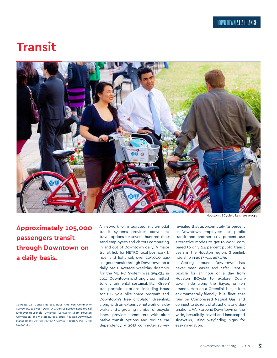# **Transit**



**Approximately 105,000 passengers transit through Downtown on a daily basis.**

*Sources:* U.S. Census Bureau, 2016 American Community Survey (ACS) 4-year Data; U.S. Census Bureau, Longitudinal Employer-Household Dynamics (LEHD); HAR.com; Houston Convention and Visitors Bureau, 2018; Houston Downtown Management District (HDMD)/ Central Houston, Inc. (CHI); CoStar; JLL

A network of integrated multi-modal transit systems provides convenient travel options for several hundred thousand employees and visitors commuting in and out of Downtown daily. A major transit hub for METRO local bus, park & ride, and light rail, over 105,000 passengers transit through Downtown on a daily basis. Average weekday ridership for the METRO System was 294,934 in 2017. Downtown is strongly committed to environmental sustainability. 'Green' transportation options, including Houston's BCycle bike share program and Downtown's free circulator Greenlink, along with an extensive network of sidewalks and a growing number of bicycle lanes, provide commuters with alternative transit options and reduce car dependency. A 2013 commuter survey

revealed that approximately 32 percent of Downtown employees use public transit and another 11.2 percent use alternative modes to get to work, compared to only 2.4 percent public transit users in the Houston region. Greenlink

ridership in 2017 was 227,076.

Getting around Downtown has never been easier and safer. Rent a bicycle for an hour or a day from Houston BCycle to explore Downtown, ride along the Bayou, or run errands. Hop on a Greenlink bus, a free, environmentally-friendly bus fleet that runs on Compressed Natural Gas, and connect to dozens of attractions and destinations. Walk around Downtown on the wide, beautifully paved and landscaped sidewalks, using wayfinding signs for easy navigation.